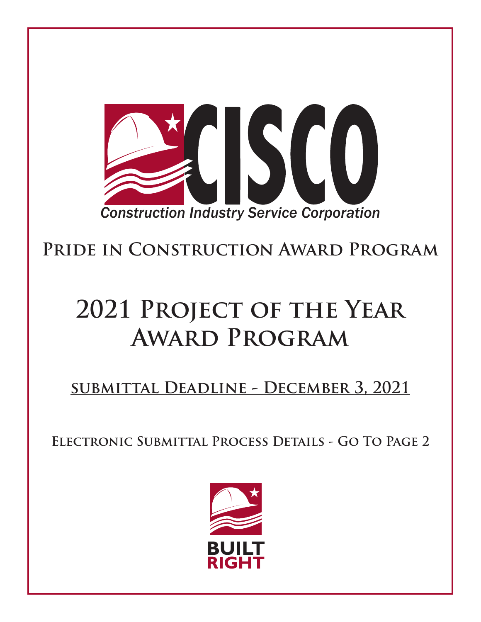

**Pride in Construction Award Program**

# **2021 Project of the Year Award Program**

**submittal Deadline - December 3, 2021**

**Electronic Submittal Process Details - Go To Page 2**

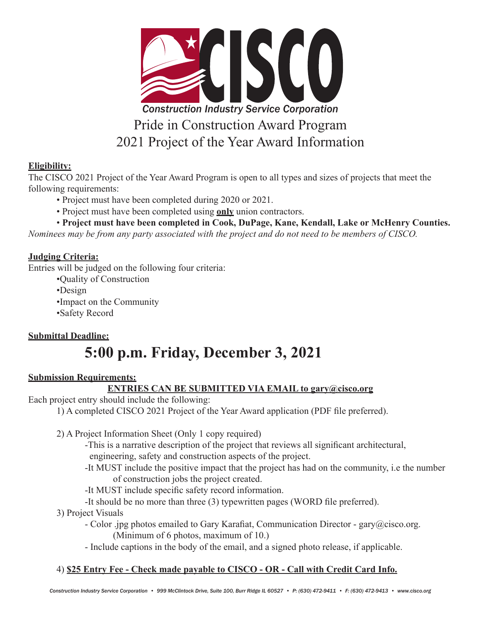

#### **Eligibility:**

The CISCO 2021 Project of the Year Award Program is open to all types and sizes of projects that meet the following requirements:

- Project must have been completed during 2020 or 2021.
- Project must have been completed using **only** union contractors.
- **Project must have been completed in Cook, DuPage, Kane, Kendall, Lake or McHenry Counties.**

*Nominees may be from any party associated with the project and do not need to be members of CISCO.*

#### **Judging Criteria:**

Entries will be judged on the following four criteria:

- •Quality of Construction
- •Design
- •Impact on the Community
- •Safety Record

#### **Submittal Deadline:**

# **5:00 p.m. Friday, December 3, 2021**

#### **Submission Requirements:**

#### **ENTRIES CAN BE SUBMITTED VIA EMAIL to gary@cisco.org**

Each project entry should include the following:

1) A completed CISCO 2021 Project of the Year Award application (PDF file preferred).

2) A Project Information Sheet (Only 1 copy required)

-This is a narrative description of the project that reviews all significant architectural, engineering, safety and construction aspects of the project.

- -It MUST include the positive impact that the project has had on the community, i.e the number of construction jobs the project created.
- -It MUST include specific safety record information.
- -It should be no more than three (3) typewritten pages (WORD file preferred).
- 3) Project Visuals
	- Color .jpg photos emailed to Gary Karafiat, Communication Director gary@cisco.org. (Minimum of 6 photos, maximum of 10.)
	- Include captions in the body of the email, and a signed photo release, if applicable.

#### 4) **\$25 Entry Fee - Check made payable to CISCO - OR - Call with Credit Card Info.**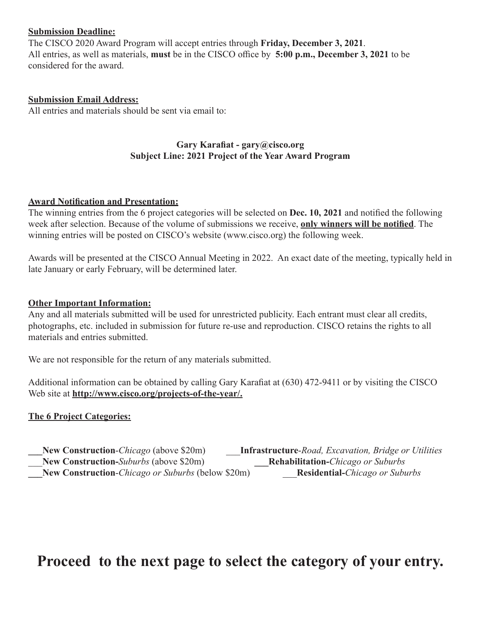#### **Submission Deadline:**

The CISCO 2020 Award Program will accept entries through **Friday, December 3, 2021**. All entries, as well as materials, **must** be in the CISCO office by **5:00 p.m., December 3, 2021** to be considered for the award.

#### **Submission Email Address:**

All entries and materials should be sent via email to:

#### **Gary Karafiat - gary@cisco.org Subject Line: 2021 Project of the Year Award Program**

#### **Award Notification and Presentation:**

The winning entries from the 6 project categories will be selected on **Dec. 10, 2021** and notified the following week after selection. Because of the volume of submissions we receive, **only winners will be notified**. The winning entries will be posted on CISCO's website (www.cisco.org) the following week.

Awards will be presented at the CISCO Annual Meeting in 2022. An exact date of the meeting, typically held in late January or early February, will be determined later.

#### **Other Important Information:**

Any and all materials submitted will be used for unrestricted publicity. Each entrant must clear all credits, photographs, etc. included in submission for future re-use and reproduction. CISCO retains the rights to all materials and entries submitted.

We are not responsible for the return of any materials submitted.

Additional information can be obtained by calling Gary Karafiat at (630) 472-9411 or by visiting the CISCO Web site at **http://www.cisco.org/projects-of-the-year/.**

#### **The 6 Project Categories:**

**\_\_\_New Construction**-*Chicago* (above \$20m) \_\_\_**Infrastructure**-*Road, Excavation, Bridge or Utilities* \_\_\_**New Construction-***Suburbs* (above \$20m) **\_\_\_Rehabilitation-***Chicago or Suburbs* **\_\_\_New Construction**-*Chicago or Suburbs* (below \$20m) \_\_\_**Residential-***Chicago or Suburbs*

### **Proceed to the next page to select the category of your entry.**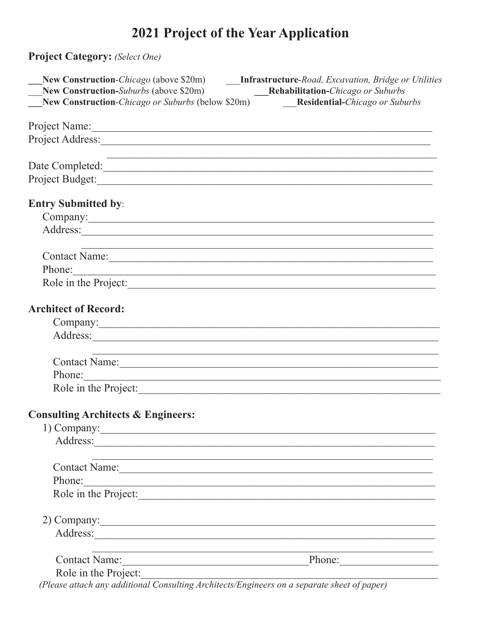## 2021 Project of the Year Application

Project Category: (Select One)

| New Construction-Suburbs (above $\$20m$ ) Rehabilitation-Chicago or Suburbs                                                                                                                                                    | New Construction-Chicago or Suburbs (below \$20m) Residential-Chicago or Suburbs |
|--------------------------------------------------------------------------------------------------------------------------------------------------------------------------------------------------------------------------------|----------------------------------------------------------------------------------|
|                                                                                                                                                                                                                                |                                                                                  |
| Project Name:                                                                                                                                                                                                                  |                                                                                  |
| Project Address: New York Changes and Security and Security and Security and Security and Security and Security and Security and Security and Security and Security and Security and Security and Security and Security and Se |                                                                                  |
| Date Completed:                                                                                                                                                                                                                |                                                                                  |
|                                                                                                                                                                                                                                |                                                                                  |
| <b>Entry Submitted by:</b>                                                                                                                                                                                                     |                                                                                  |
|                                                                                                                                                                                                                                |                                                                                  |
|                                                                                                                                                                                                                                |                                                                                  |
|                                                                                                                                                                                                                                |                                                                                  |
| Phone:                                                                                                                                                                                                                         | Contact Name:                                                                    |
|                                                                                                                                                                                                                                | Role in the Project:                                                             |
|                                                                                                                                                                                                                                |                                                                                  |
| <b>Architect of Record:</b>                                                                                                                                                                                                    |                                                                                  |
|                                                                                                                                                                                                                                |                                                                                  |
| Address:                                                                                                                                                                                                                       |                                                                                  |
|                                                                                                                                                                                                                                | Contact Name:                                                                    |
| Phone:                                                                                                                                                                                                                         |                                                                                  |
| Role in the Project:                                                                                                                                                                                                           |                                                                                  |
| <b>Consulting Architects &amp; Engineers:</b>                                                                                                                                                                                  |                                                                                  |
| 1) Company:                                                                                                                                                                                                                    |                                                                                  |
| Address: <u>Address:</u>                                                                                                                                                                                                       |                                                                                  |
| Contact Name: Manual Contact Name:                                                                                                                                                                                             |                                                                                  |
| Phone:                                                                                                                                                                                                                         |                                                                                  |
| <u> 1989 - Johann Barn, fransk politik (d. 1989)</u><br>Role in the Project:                                                                                                                                                   |                                                                                  |
|                                                                                                                                                                                                                                |                                                                                  |
| 2) Company:                                                                                                                                                                                                                    |                                                                                  |
|                                                                                                                                                                                                                                |                                                                                  |
|                                                                                                                                                                                                                                | Contact Name: Phone: Phone:                                                      |
| Role in the Project:<br>(plasse attach am additional Consulting Architects/Engineers on a separate sheet of paper)                                                                                                             |                                                                                  |
|                                                                                                                                                                                                                                |                                                                                  |

(Please attach any additional Consulting Architects/Engineers on a separate sheet of paper)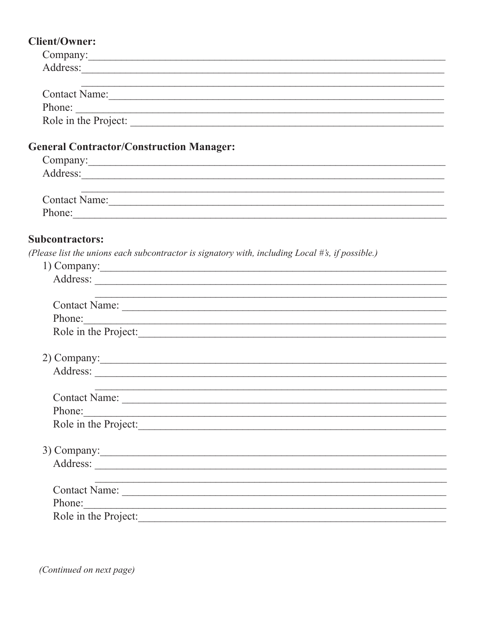### $Client/O$

| <b>Client/Owner:</b>                                                                                                            |
|---------------------------------------------------------------------------------------------------------------------------------|
|                                                                                                                                 |
| Address:                                                                                                                        |
|                                                                                                                                 |
| Contact Name:                                                                                                                   |
| Phone:                                                                                                                          |
| Role in the Project:                                                                                                            |
| <b>General Contractor/Construction Manager:</b>                                                                                 |
|                                                                                                                                 |
|                                                                                                                                 |
| <u> 1989 - Johann Stoff, amerikansk politiker (d. 1989)</u>                                                                     |
| Contact Name:<br>Phone:                                                                                                         |
|                                                                                                                                 |
| <b>Subcontractors:</b>                                                                                                          |
| (Please list the unions each subcontractor is signatory with, including Local #'s, if possible.)                                |
| 1) Company:                                                                                                                     |
|                                                                                                                                 |
|                                                                                                                                 |
| Phone:                                                                                                                          |
| Role in the Project:                                                                                                            |
|                                                                                                                                 |
| 2) Company:                                                                                                                     |
|                                                                                                                                 |
|                                                                                                                                 |
|                                                                                                                                 |
| Phone:<br><u> 1989 - Johann Stein, marwolaethau a bhann an t-Amhainn an t-Amhainn an t-Amhainn an t-Amhainn an t-Amhainn an</u> |
| Role in the Project:                                                                                                            |
|                                                                                                                                 |
| 3) Company:                                                                                                                     |
|                                                                                                                                 |
|                                                                                                                                 |
| Phone:                                                                                                                          |
| <u> 1989 - Johann Stoff, amerikansk politiker (d. 1989)</u><br>Role in the Project:                                             |
|                                                                                                                                 |